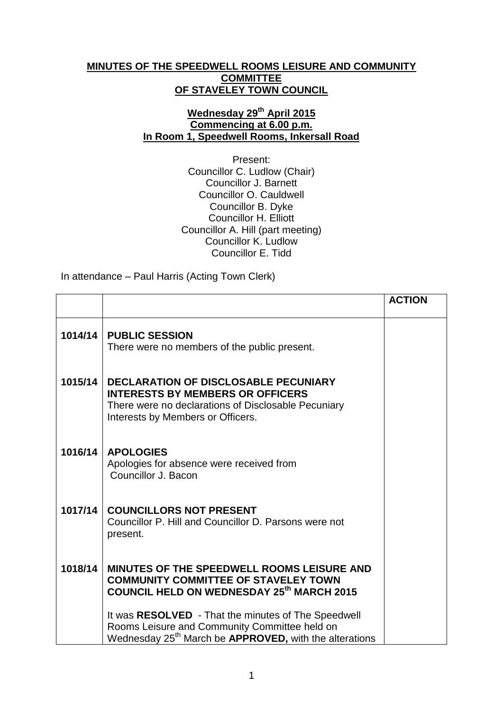## **MINUTES OF THE SPEEDWELL ROOMS LEISURE AND COMMUNITY COMMITTEE OF STAVELEY TOWN COUNCIL**

## **Wednesday 29 th April 2015 Commencing at 6.00 p.m. In Room 1, Speedwell Rooms, Inkersall Road**

Present: Councillor C. Ludlow (Chair) Councillor J. Barnett Councillor O. Cauldwell Councillor B. Dyke Councillor H. Elliott Councillor A. Hill (part meeting) Councillor K. Ludlow Councillor E. Tidd

In attendance – Paul Harris (Acting Town Clerk)

|         |                                                                                                                                                                                    | <b>ACTION</b> |
|---------|------------------------------------------------------------------------------------------------------------------------------------------------------------------------------------|---------------|
| 1014/14 | <b>PUBLIC SESSION</b><br>There were no members of the public present.                                                                                                              |               |
| 1015/14 | <b>DECLARATION OF DISCLOSABLE PECUNIARY</b><br><b>INTERESTS BY MEMBERS OR OFFICERS</b><br>There were no declarations of Disclosable Pecuniary<br>Interests by Members or Officers. |               |
| 1016/14 | <b>APOLOGIES</b><br>Apologies for absence were received from<br>Councillor J. Bacon                                                                                                |               |
| 1017/14 | <b>COUNCILLORS NOT PRESENT</b><br>Councillor P. Hill and Councillor D. Parsons were not<br>present.                                                                                |               |
| 1018/14 | MINUTES OF THE SPEEDWELL ROOMS LEISURE AND<br><b>COMMUNITY COMMITTEE OF STAVELEY TOWN</b><br><b>COUNCIL HELD ON WEDNESDAY 25th MARCH 2015</b>                                      |               |
|         | It was RESOLVED - That the minutes of The Speedwell<br>Rooms Leisure and Community Committee held on<br>Wednesday 25 <sup>th</sup> March be APPROVED, with the alterations         |               |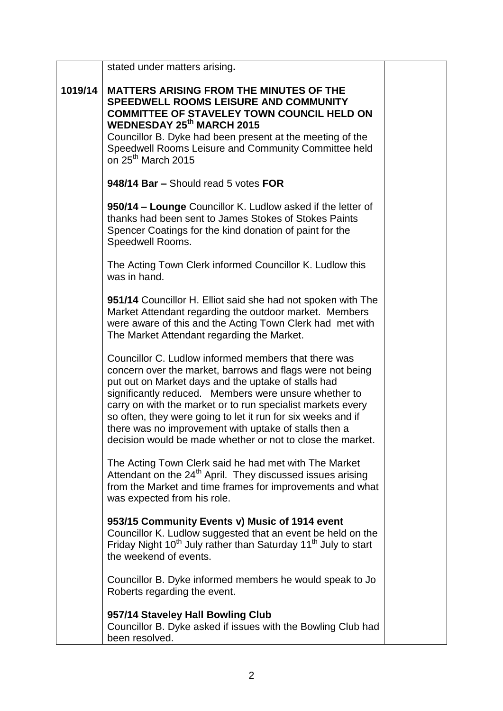|         | stated under matters arising.                                                                                                                                                                                                                                                                                                                                                                                                                                                           |
|---------|-----------------------------------------------------------------------------------------------------------------------------------------------------------------------------------------------------------------------------------------------------------------------------------------------------------------------------------------------------------------------------------------------------------------------------------------------------------------------------------------|
| 1019/14 | <b>MATTERS ARISING FROM THE MINUTES OF THE</b><br>SPEEDWELL ROOMS LEISURE AND COMMUNITY<br><b>COMMITTEE OF STAVELEY TOWN COUNCIL HELD ON</b><br><b>WEDNESDAY 25th MARCH 2015</b><br>Councillor B. Dyke had been present at the meeting of the<br>Speedwell Rooms Leisure and Community Committee held<br>on 25 <sup>th</sup> March 2015                                                                                                                                                 |
|         | 948/14 Bar - Should read 5 votes FOR                                                                                                                                                                                                                                                                                                                                                                                                                                                    |
|         | 950/14 – Lounge Councillor K. Ludlow asked if the letter of<br>thanks had been sent to James Stokes of Stokes Paints<br>Spencer Coatings for the kind donation of paint for the<br>Speedwell Rooms.                                                                                                                                                                                                                                                                                     |
|         | The Acting Town Clerk informed Councillor K. Ludlow this<br>was in hand.                                                                                                                                                                                                                                                                                                                                                                                                                |
|         | 951/14 Councillor H. Elliot said she had not spoken with The<br>Market Attendant regarding the outdoor market. Members<br>were aware of this and the Acting Town Clerk had met with<br>The Market Attendant regarding the Market.                                                                                                                                                                                                                                                       |
|         | Councillor C. Ludlow informed members that there was<br>concern over the market, barrows and flags were not being<br>put out on Market days and the uptake of stalls had<br>significantly reduced. Members were unsure whether to<br>carry on with the market or to run specialist markets every<br>so often, they were going to let it run for six weeks and if<br>there was no improvement with uptake of stalls then a<br>decision would be made whether or not to close the market. |
|         | The Acting Town Clerk said he had met with The Market<br>Attendant on the 24 <sup>th</sup> April. They discussed issues arising<br>from the Market and time frames for improvements and what<br>was expected from his role.                                                                                                                                                                                                                                                             |
|         | 953/15 Community Events v) Music of 1914 event<br>Councillor K. Ludlow suggested that an event be held on the<br>Friday Night 10 <sup>th</sup> July rather than Saturday 11 <sup>th</sup> July to start<br>the weekend of events.                                                                                                                                                                                                                                                       |
|         | Councillor B. Dyke informed members he would speak to Jo<br>Roberts regarding the event.                                                                                                                                                                                                                                                                                                                                                                                                |
|         | 957/14 Staveley Hall Bowling Club<br>Councillor B. Dyke asked if issues with the Bowling Club had<br>been resolved.                                                                                                                                                                                                                                                                                                                                                                     |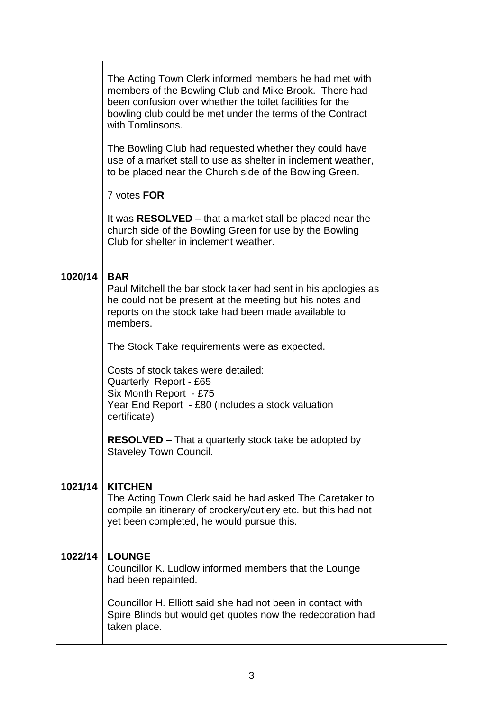|         | The Acting Town Clerk informed members he had met with<br>members of the Bowling Club and Mike Brook. There had<br>been confusion over whether the toilet facilities for the<br>bowling club could be met under the terms of the Contract<br>with Tomlinsons. |  |
|---------|---------------------------------------------------------------------------------------------------------------------------------------------------------------------------------------------------------------------------------------------------------------|--|
|         | The Bowling Club had requested whether they could have<br>use of a market stall to use as shelter in inclement weather,<br>to be placed near the Church side of the Bowling Green.                                                                            |  |
|         | 7 votes FOR                                                                                                                                                                                                                                                   |  |
|         | It was RESOLVED – that a market stall be placed near the<br>church side of the Bowling Green for use by the Bowling<br>Club for shelter in inclement weather.                                                                                                 |  |
| 1020/14 | <b>BAR</b><br>Paul Mitchell the bar stock taker had sent in his apologies as<br>he could not be present at the meeting but his notes and<br>reports on the stock take had been made available to<br>members.                                                  |  |
|         | The Stock Take requirements were as expected.                                                                                                                                                                                                                 |  |
|         | Costs of stock takes were detailed:<br>Quarterly Report - £65<br>Six Month Report - £75<br>Year End Report - £80 (includes a stock valuation<br>certificate)                                                                                                  |  |
|         | <b>RESOLVED</b> – That a quarterly stock take be adopted by<br><b>Staveley Town Council.</b>                                                                                                                                                                  |  |
| 1021/14 | <b>KITCHEN</b><br>The Acting Town Clerk said he had asked The Caretaker to<br>compile an itinerary of crockery/cutlery etc. but this had not<br>yet been completed, he would pursue this.                                                                     |  |
| 1022/14 | <b>LOUNGE</b><br>Councillor K. Ludlow informed members that the Lounge<br>had been repainted.                                                                                                                                                                 |  |
|         | Councillor H. Elliott said she had not been in contact with<br>Spire Blinds but would get quotes now the redecoration had<br>taken place.                                                                                                                     |  |
|         |                                                                                                                                                                                                                                                               |  |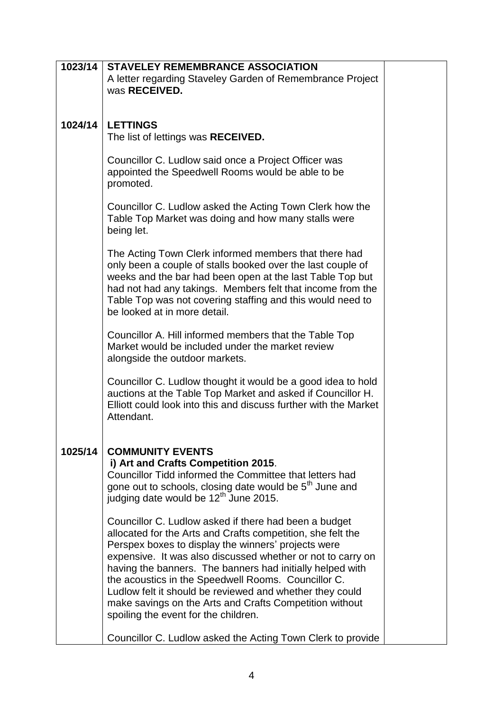| 1023/14 | <b>STAVELEY REMEMBRANCE ASSOCIATION</b><br>A letter regarding Staveley Garden of Remembrance Project<br>was RECEIVED.                                                                                                                                                                                                                                                                                                                                                                                                         |  |
|---------|-------------------------------------------------------------------------------------------------------------------------------------------------------------------------------------------------------------------------------------------------------------------------------------------------------------------------------------------------------------------------------------------------------------------------------------------------------------------------------------------------------------------------------|--|
| 1024/14 | <b>LETTINGS</b><br>The list of lettings was RECEIVED.                                                                                                                                                                                                                                                                                                                                                                                                                                                                         |  |
|         | Councillor C. Ludlow said once a Project Officer was<br>appointed the Speedwell Rooms would be able to be<br>promoted.                                                                                                                                                                                                                                                                                                                                                                                                        |  |
|         | Councillor C. Ludlow asked the Acting Town Clerk how the<br>Table Top Market was doing and how many stalls were<br>being let.                                                                                                                                                                                                                                                                                                                                                                                                 |  |
|         | The Acting Town Clerk informed members that there had<br>only been a couple of stalls booked over the last couple of<br>weeks and the bar had been open at the last Table Top but<br>had not had any takings. Members felt that income from the<br>Table Top was not covering staffing and this would need to<br>be looked at in more detail.                                                                                                                                                                                 |  |
|         | Councillor A. Hill informed members that the Table Top<br>Market would be included under the market review<br>alongside the outdoor markets.                                                                                                                                                                                                                                                                                                                                                                                  |  |
|         | Councillor C. Ludlow thought it would be a good idea to hold<br>auctions at the Table Top Market and asked if Councillor H.<br>Elliott could look into this and discuss further with the Market<br>Attendant.                                                                                                                                                                                                                                                                                                                 |  |
| 1025/14 | <b>COMMUNITY EVENTS</b><br>i) Art and Crafts Competition 2015.<br>Councillor Tidd informed the Committee that letters had<br>gone out to schools, closing date would be 5 <sup>th</sup> June and<br>judging date would be 12 <sup>th</sup> June 2015.                                                                                                                                                                                                                                                                         |  |
|         | Councillor C. Ludlow asked if there had been a budget<br>allocated for the Arts and Crafts competition, she felt the<br>Perspex boxes to display the winners' projects were<br>expensive. It was also discussed whether or not to carry on<br>having the banners. The banners had initially helped with<br>the acoustics in the Speedwell Rooms. Councillor C.<br>Ludlow felt it should be reviewed and whether they could<br>make savings on the Arts and Crafts Competition without<br>spoiling the event for the children. |  |
|         | Councillor C. Ludlow asked the Acting Town Clerk to provide                                                                                                                                                                                                                                                                                                                                                                                                                                                                   |  |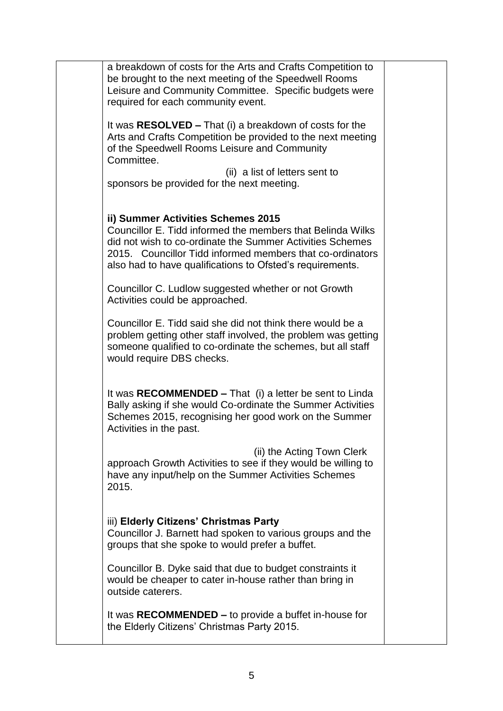| a breakdown of costs for the Arts and Crafts Competition to<br>be brought to the next meeting of the Speedwell Rooms<br>Leisure and Community Committee. Specific budgets were<br>required for each community event.                                                                    |  |
|-----------------------------------------------------------------------------------------------------------------------------------------------------------------------------------------------------------------------------------------------------------------------------------------|--|
| It was $RESOLVED - That$ (i) a breakdown of costs for the<br>Arts and Crafts Competition be provided to the next meeting<br>of the Speedwell Rooms Leisure and Community<br>Committee.                                                                                                  |  |
| (ii) a list of letters sent to<br>sponsors be provided for the next meeting.                                                                                                                                                                                                            |  |
| ii) Summer Activities Schemes 2015<br>Councillor E. Tidd informed the members that Belinda Wilks<br>did not wish to co-ordinate the Summer Activities Schemes<br>2015. Councillor Tidd informed members that co-ordinators<br>also had to have qualifications to Ofsted's requirements. |  |
| Councillor C. Ludlow suggested whether or not Growth<br>Activities could be approached.                                                                                                                                                                                                 |  |
| Councillor E. Tidd said she did not think there would be a<br>problem getting other staff involved, the problem was getting<br>someone qualified to co-ordinate the schemes, but all staff<br>would require DBS checks.                                                                 |  |
| It was $RECOMMENDED - That$ (i) a letter be sent to Linda<br>Bally asking if she would Co-ordinate the Summer Activities<br>Schemes 2015, recognising her good work on the Summer<br>Activities in the past.                                                                            |  |
| (ii) the Acting Town Clerk<br>approach Growth Activities to see if they would be willing to<br>have any input/help on the Summer Activities Schemes<br>2015.                                                                                                                            |  |
| iii) Elderly Citizens' Christmas Party<br>Councillor J. Barnett had spoken to various groups and the<br>groups that she spoke to would prefer a buffet.                                                                                                                                 |  |
| Councillor B. Dyke said that due to budget constraints it<br>would be cheaper to cater in-house rather than bring in<br>outside caterers.                                                                                                                                               |  |
| It was RECOMMENDED – to provide a buffet in-house for<br>the Elderly Citizens' Christmas Party 2015.                                                                                                                                                                                    |  |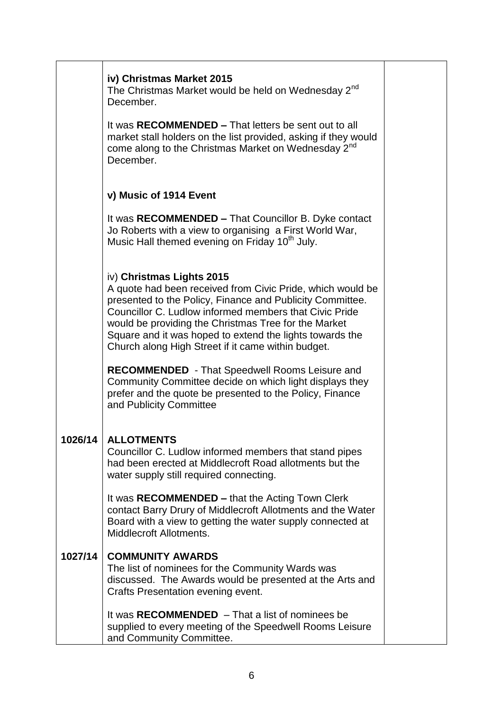|         | iv) Christmas Market 2015<br>The Christmas Market would be held on Wednesday 2 <sup>nd</sup><br>December.                                                                                                                                                                                                                                                                                |  |
|---------|------------------------------------------------------------------------------------------------------------------------------------------------------------------------------------------------------------------------------------------------------------------------------------------------------------------------------------------------------------------------------------------|--|
|         | It was RECOMMENDED – That letters be sent out to all<br>market stall holders on the list provided, asking if they would<br>come along to the Christmas Market on Wednesday 2 <sup>nd</sup><br>December.                                                                                                                                                                                  |  |
|         | v) Music of 1914 Event                                                                                                                                                                                                                                                                                                                                                                   |  |
|         | It was RECOMMENDED - That Councillor B. Dyke contact<br>Jo Roberts with a view to organising a First World War,<br>Music Hall themed evening on Friday 10 <sup>th</sup> July.                                                                                                                                                                                                            |  |
|         | iv) Christmas Lights 2015<br>A quote had been received from Civic Pride, which would be<br>presented to the Policy, Finance and Publicity Committee.<br>Councillor C. Ludlow informed members that Civic Pride<br>would be providing the Christmas Tree for the Market<br>Square and it was hoped to extend the lights towards the<br>Church along High Street if it came within budget. |  |
|         | <b>RECOMMENDED</b> - That Speedwell Rooms Leisure and<br>Community Committee decide on which light displays they<br>prefer and the quote be presented to the Policy, Finance<br>and Publicity Committee                                                                                                                                                                                  |  |
| 1026/14 | <b>ALLOTMENTS</b><br>Councillor C. Ludlow informed members that stand pipes<br>had been erected at Middlecroft Road allotments but the<br>water supply still required connecting.                                                                                                                                                                                                        |  |
|         | It was RECOMMENDED - that the Acting Town Clerk<br>contact Barry Drury of Middlecroft Allotments and the Water<br>Board with a view to getting the water supply connected at<br>Middlecroft Allotments.                                                                                                                                                                                  |  |
| 1027/14 | <b>COMMUNITY AWARDS</b><br>The list of nominees for the Community Wards was<br>discussed. The Awards would be presented at the Arts and<br>Crafts Presentation evening event.                                                                                                                                                                                                            |  |
|         | It was RECOMMENDED - That a list of nominees be<br>supplied to every meeting of the Speedwell Rooms Leisure<br>and Community Committee.                                                                                                                                                                                                                                                  |  |